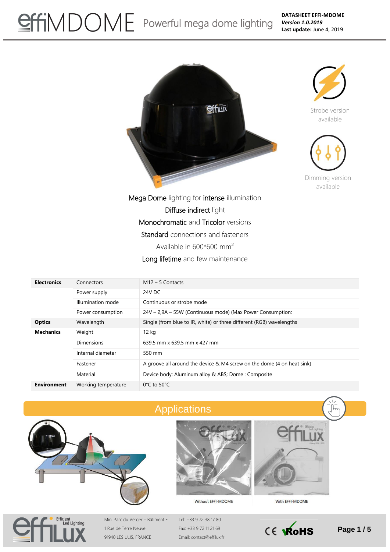## SHIMDOME Powerful mega dome lighting

**DATASHEET EFFI-MDOME** *Version 1.0.2019* **Last update:** June 4, 2019





Strobe version available



Dimming version available

Mega Dome lighting for intense illumination Diffuse indirect light Monochromatic and Tricolor versions Standard connections and fasteners Available in 600\*600 mm² Long lifetime and few maintenance

| <b>Electronics</b>         | Connectors          | $M12 - 5$ Contacts                                                     |
|----------------------------|---------------------|------------------------------------------------------------------------|
| Power supply               |                     | 24V DC                                                                 |
| Illumination mode          |                     | Continuous or strobe mode                                              |
|                            | Power consumption   | 24V – 2,9A – 55W (Continuous mode) (Max Power Consumption:             |
| <b>Optics</b>              | Wavelength          | Single (from blue to IR, white) or three different (RGB) wavelengths   |
| <b>Mechanics</b><br>Weight |                     | 12 kg                                                                  |
|                            | Dimensions          | 639.5 mm x 639.5 mm x 427 mm                                           |
|                            | Internal diameter   | 550 mm                                                                 |
|                            | Fastener            | A groove all around the device & M4 screw on the dome (4 on heat sink) |
|                            | Material            | Device body: Aluminum alloy & ABS; Dome: Composite                     |
| <b>Environment</b>         | Working temperature | $0^{\circ}$ C to 50 $^{\circ}$ C                                       |



## Applications





Without EFFI-MDOME



Mini Parc du Verger – Bâtiment E 1 Rue de Terre Neuve 91940 LES ULIS, FRANCE

Tel: +33 9 72 38 17 80 Fax: +33 9 72 11 21 69 Email: contact@effilux.fr



With EFFI-MDOME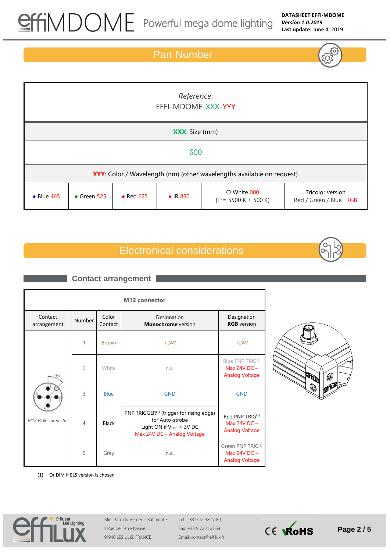### Part Number

| Reference:<br>EFFI-MDOME-XXX-YYY                                             |                     |           |                  |                                                                       |                                             |
|------------------------------------------------------------------------------|---------------------|-----------|------------------|-----------------------------------------------------------------------|---------------------------------------------|
| <b>XXX:</b> Size (mm)                                                        |                     |           |                  |                                                                       |                                             |
| 600                                                                          |                     |           |                  |                                                                       |                                             |
| <b>YYY:</b> Color / Wavelength (nm) (other wavelengths available on request) |                     |           |                  |                                                                       |                                             |
| $\bullet$ Blue 465                                                           | $\bullet$ Green 525 | • Red 625 | $\bullet$ IR 850 | $\circ$ White 000<br>$(T^{\circ} = 5500 \text{ K} \pm 500 \text{ K})$ | Tricolor version<br>Red / Green / Blue: RGB |

## Electronical considerations



#### **M12 connector**  Contact arrangement Number Color Contact Designation **Monochrome** version Designation **RGB** version *M12 Male connector* 1 Brown +24V +24V 2 White n.a. Blue PNP TRIG<sup>(1)</sup> Max 24V DC – Analog Voltage 3 Blue GND GND 4 Black PNP TRIGGER<sup>(1)</sup> (trigger for rising edge) for Auto-strobe Light ON if  $V_{PNP}$  > 3V DC Max 24V DC – Analog Voltage Red PNP TRIG(1) Max 24V DC – Analog Voltage 5 Grey n.a. Green PNP TRIG(1) Max 24V DC – Analog Voltage **Contact arrangement**



(1) Or DIM if ELS version is chosen



Mini Parc du Verger – Bâtiment E 1 Rue de Terre Neuve 91940 LES ULIS, FRANCE

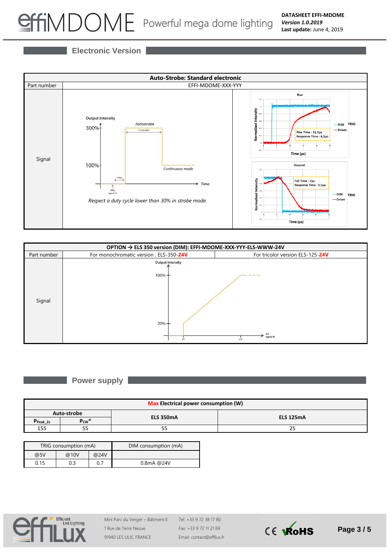# SHIMDOME Powerful mega dome lighting

**Electronic Version**





#### **Power supply**

| <b>Max Electrical power consumption (W)</b> |            |                  |                  |  |
|---------------------------------------------|------------|------------------|------------------|--|
| Auto-strobe                                 |            | <b>ELS 350mA</b> | <b>ELS 125mA</b> |  |
| $PPeak_2s$                                  | $P_{CW}^*$ |                  |                  |  |
| 155                                         | e e<br>ככ  | e e<br>ככ        | 25               |  |

| TRIG consumption (mA) |      |      | DIM consumption (mA) |
|-----------------------|------|------|----------------------|
| @5V                   | @10V | @24V |                      |
| 0.15                  |      | 0.7  | $0.8$ mA $@24V$      |



Mini Parc du Verger – Bâtiment E 1 Rue de Terre Neuve 91940 LES ULIS, FRANCE

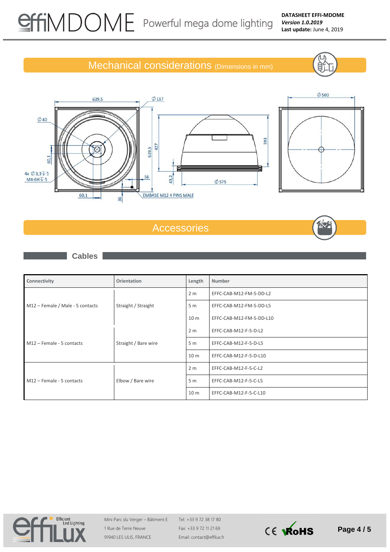Βí

## Mechanical considerations (Dimensions in mm)





 $\varnothing$  117



## Accessories



**Cables**

639,5

| Connectivity                     | <b>Orientation</b>   | Length          | Number                   |
|----------------------------------|----------------------|-----------------|--------------------------|
|                                  | Straight / Straight  | 2 <sub>m</sub>  | EFFC-CAB-M12-FM-5-DD-L2  |
| M12 - Female / Male - 5 contacts |                      | 5 <sub>m</sub>  | EFFC-CAB-M12-FM-5-DD-L5  |
|                                  |                      | 10 <sub>m</sub> | EFFC-CAB-M12-FM-5-DD-L10 |
|                                  | Straight / Bare wire | 2 <sub>m</sub>  | EFFC-CAB-M12-F-5-D-L2    |
| M12 - Female - 5 contacts        |                      | 5 <sub>m</sub>  | EFFC-CAB-M12-F-5-D-L5    |
|                                  |                      | 10 <sub>m</sub> | EFFC-CAB-M12-F-5-D-L10   |
|                                  | Elbow / Bare wire    | 2 <sub>m</sub>  | EFFC-CAB-M12-F-5-C-L2    |
| M12 - Female - 5 contacts        |                      | 5 <sub>m</sub>  | EFFC-CAB-M12-F-5-C-L5    |
|                                  |                      | 10 <sub>m</sub> | EFFC-CAB-M12-F-5-C-L10   |



Mini Parc du Verger – Bâtiment E 1 Rue de Terre Neuve 91940 LES ULIS, FRANCE